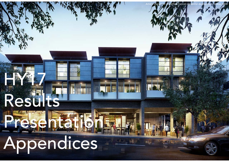# Appendices

Presentation

HY27

Rest

Abacus Property Group – HY17 Results Presentation Appendices: 17 February 2017

Artist's impression of Ashfield Central residential development, Sydney NSW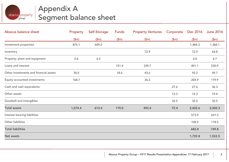

## Appendix A Segment balance sheet

| Abacus balance sheet                   | Property | Self-Storage | Funds | <b>Property Ventures</b> | Corporate | Dec 2016 | <b>June 2016</b> |
|----------------------------------------|----------|--------------|-------|--------------------------|-----------|----------|------------------|
|                                        | \$m\$    | \$m\$        | \$m\$ | \$m\$                    | \$m\$     | \$m\$    | \$m\$            |
| Investment properties                  | 875.1    | 609.2        |       |                          |           | 1,484.3  | 1,384.1          |
| Inventory                              |          |              |       | 72.9                     |           | 72.9     | 64.8             |
| Property, plant and equipment          | 0.6      | 4.2          |       |                          |           | 4.8      | 4.7              |
| Loans and interest                     |          |              | 151.4 | 339.7                    |           | 491.1    | 530.9            |
| Other investments and financial assets | 30.0     |              | 18.6  | 43.6                     |           | 92.2     | 49.7             |
| Equity accounted investments           | 168.7    |              |       | 36.2                     |           | 204.9    | 179.9            |
| Cash and cash equivalents              |          |              |       |                          | 27.6      | 27.6     | 36.3             |
| Other assets                           |          |              |       |                          | 12.3      | 12.3     | 19.4             |
| Goodwill and intangibles               |          |              |       |                          | 32.5      | 32.5     | 32.5             |
| <b>Total assets</b>                    | 1,074.4  | 613.4        | 170.0 | 492.4                    | 72.4      | 2,422.6  | 2,302.3          |
| Interest bearing liabilities           |          |              |       |                          |           | 573.9    | 631.3            |
| Other liabilities                      |          |              |       |                          |           | 108.9    | 118.5            |
| <b>Total liabilities</b>               |          |              |       |                          |           | 682.8    | 749.8            |
| <b>Net assets</b>                      |          |              |       |                          |           | 1,739.8  | 1,552.5          |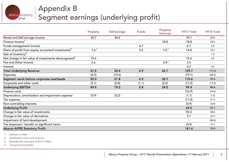

## Appendix B Segment earnings (underlying profit)

|                                                                   | Property | Self-storage | <b>Funds</b> | Property<br><b>Ventures</b> | <b>HY17 Total</b> | <b>HY16 Total</b> |
|-------------------------------------------------------------------|----------|--------------|--------------|-----------------------------|-------------------|-------------------|
| Rental and Self-storage income                                    | 35.7     | 34.4         |              |                             | 70.1              | 63.4              |
| Finance income <sup>1</sup>                                       |          |              |              | 18.8                        | 18.8              | 29.5              |
| Funds management income                                           |          |              | 6.7          |                             | 6.7               | 6.5               |
| Share of profit from equity accounted investments <sup>2</sup>    | $7.6^3$  |              | 0.2          | 7.0 <sup>4</sup>            | 14.8              | 10.1              |
| Sale of inventory <sup>4</sup>                                    |          |              |              |                             |                   | 1.4               |
| Net change in fair value of investments derecognised <sup>4</sup> | 15.6     |              |              |                             | 15.6              | 0.5               |
| Fee and Other Income                                              | 2.6      |              |              | 0.9 <sup>4</sup>            | 3.5               |                   |
| Interest                                                          |          |              |              |                             | 0.2               | 0.2               |
| <b>Total Underlying Revenue</b>                                   | 61.5     | 34.4         | 6.9          | 26.7                        | 129.7             | 111.6             |
| <b>Expenses</b>                                                   | (6.5)    | (12.6)       |              |                             | (19.1)            | (20.0)            |
| Segment result before corporate overheads                         | 55.0     | 21.8         | 6.9          | 26.7                        | 110.6             | 91.6              |
| Corporate and other costs                                         | (5.1)    | (2.8)        | (1.1)        | (2.2)                       | (11.2)            | (11.2)            |
| <b>Underlying EBITDA</b>                                          | 49.9     | 19.0         | 5.8          | 24.5                        | 99.4              | 80.4              |
| Finance costs                                                     |          |              |              |                             | (16.9)            | (14.6)            |
| Depreciation, amortisation and impairment expense                 | (0.9)    | (0.2)        |              |                             | (1.1)             | (1.2)             |
| Tax expense                                                       |          |              |              |                             | (11.0)            | (7.1)             |
| Non-controlling interests                                         |          |              |              |                             | (0.9)             | (0.4)             |
| <b>Underlying Profit</b>                                          |          |              |              |                             | 69.5              | 57.1              |
| Change in fair value of investments                               |          |              |              |                             | 92.2              | 44.4              |
| Change in fair value of derivatives                               |          |              |              |                             | 3.1               | (2.1)             |
| Impairment of land development                                    |          |              |              |                             |                   | (40.6)            |
| Tax (expense) / benefit on significant items                      |          |              |              |                             | (3.4)             | 12.1              |
| <b>Abacus AIFRS Statutory Profit</b>                              |          |              |              |                             | 161.4             | 70.9              |

1. Interest on loans

2. Distributions from joint ventures

3. Excludes fair value gain of \$15.9 million

4. Transactional activities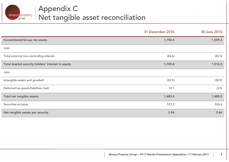

|                                                    | 31 December 2016 | 30 June 2016 |
|----------------------------------------------------|------------------|--------------|
| <b>Consolidated Group net assets</b>               | 1,750.4          | 1,559.3      |
| Less                                               |                  |              |
| Total external non-controlling interest            | (44.6)           | (43.3)       |
| Total stapled security holders' interest in equity | 1,705.8          | 1,516.0      |
| Less                                               |                  |              |
| Intangible assets and goodwill                     | (32.5)           | (32.5)       |
| Deferred tax assets/liabilities (net)              | 10.1             | (3.5)        |
| Total net tangible assets                          | 1,683.4          | 1,480.0      |
| Securities on issue                                | 572.3            | 556.6        |
| Net tangible assets per security                   | 2.94             | 2.66         |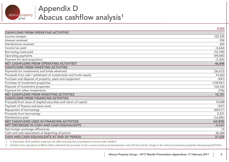

## Appendix D Abacus cashflow analysis 1

|                                                                 | \$'000    |
|-----------------------------------------------------------------|-----------|
| <b>CASHFLOWS FROM OPERATING ACTIVITIES</b>                      |           |
| Income receipts                                                 | 122,335   |
| Interest received                                               | 558       |
| Distributions received                                          | 209       |
| Income tax paid                                                 | (3,644)   |
| Borrowing costs paid                                            | (16, 105) |
| Operating payments                                              | (49,650)  |
| Payment for land acquisition                                    | (7, 205)  |
| NET CASHFLOWS FROM OPERATING ACTIVITIES <sup>2</sup>            | 46,498    |
| <b>CASHFLOWS FROM INVESTING ACTIVITIES</b>                      |           |
| Payments for investments and funds advanced                     | (36,612)  |
| Proceeds from sale / settlement of investments and funds repaid | 74,203    |
| Purchase and disposal of property, plant and equipment          | (441)     |
| Purchase of investment properties                               | (128,961) |
| Disposal of investment properties                               | 103,334   |
| Payment for other investments                                   | (796)     |
| <b>NET CASHFLOWS FROM INVESTING ACTIVITIES</b>                  | 10,727    |
| <b>CASHFLOWS FROM FINANCING ACTIVITIES</b>                      |           |
| Proceeds from issue of stapled securities and return of capital | 14,008    |
| Payment of finance and issue costs                              | (547)     |
| Repayment of borrowings                                         | (68, 017) |
| Proceeds from borrowings                                        | 5,521     |
| Distributions paid                                              | (16, 855) |
| NET CASHFLOWS USED IN FINANCING ACTIVITIES                      | (65, 890) |
| NET (DECREASE) IN CASH AND CASH EQUIVALENTS                     | (8,665)   |
| Net foreign exchange differences                                | 16        |
| Cash and cash equivalents at beginning of period                | 36,284    |
| CASH AND CASH EQUIVALENTS AT END OF PERIOD                      | 27,635    |

1. 31 December 2016 cashflow statement for ABP excluding the consolidation of funds under AASB10

2. Cashflow from operations of \$64.6 million adds back the purchase of non-current inventory & development costs (\$7.2m) and the change in fair value of investment properties derecognised (\$10.9m)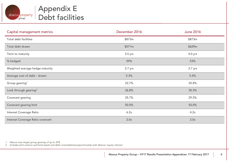

## Appendix E Debt facilities

| Capital management metrics        | December 2016 | <b>June 2016</b> |
|-----------------------------------|---------------|------------------|
| Total debt facilities             | \$873m        | \$873m           |
| Total debt drawn                  | \$571m        | \$629m           |
| Term to maturity                  | $3.5$ yrs     | $4.0$ yrs        |
| % hedged                          | 59%           | 53%              |
| Weighted average hedge maturity   | 2.7 yrs       | 2.7 yrs          |
| Average cost of debt - drawn      | 5.3%          | 5.4%             |
| Group gearing <sup>1</sup>        | 22.7%         | 25.8%            |
| Look through gearing <sup>2</sup> | 26.8%         | 30.3%            |
| Covenant gearing                  | 25.7%         | 29.5%            |
| Covenant gearing limit            | 50.0%         | 50.0%            |
| Interest Coverage Ratio           | 6.2x          | 4.2x             |
| Interest Coverage Ratio covenant  | 2.0x          | 2.0x             |

1. Abacus max target group gearing of up to 35%

2. Includes joint venture and fund assets and debt consolidated proportionately with Abacus' equity interest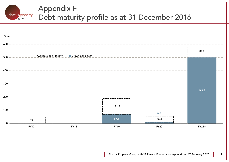

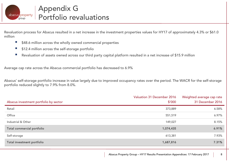

Revaluation process for Abacus resulted in a net increase in the investment properties values for HY17 of approximately 4.3% or \$61.0 million

- $\overline{\phantom{a}}$ \$48.6 million across the wholly owned commercial properties
- $\mathcal{L}_{\mathcal{A}}$ \$12.4 million across the self-storage portfolio
- Revaluation of assets owned across our third party capital platform resulted in a net increase of \$15.9 million

Average cap rate across the Abacus commercial portfolio has decreased to 6.9%

Abacus' self-storage portfolio increase in value largely due to improved occupancy rates over the period. The WACR for the self-storage portfolio reduced slightly to 7.9% from 8.0%.

| Abacus investment portfolio by sector | <b>Valuation 31 December 2016</b><br>\$′000 | Weighted average cap rate<br>31 December 2016 |
|---------------------------------------|---------------------------------------------|-----------------------------------------------|
| Retail                                | 373,889                                     | 6.58%                                         |
| Office                                | 551,519                                     | 6.97%                                         |
| Industrial & Other                    | 149,027                                     | 8.15%                                         |
| Total commercial portfolio            | 1,074,435                                   | 6.91%                                         |
| Self-storage                          | 613,381                                     | 7.93%                                         |
| Total investment portfolio            | 1,687,816                                   | 7.31%                                         |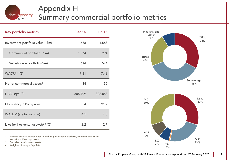#### Appendix H abacus property Summary commercial portfolio metrics group

| Key portfolio metrics                             | Dec 16  | <b>Jun 16</b> |
|---------------------------------------------------|---------|---------------|
| Investment portfolio value <sup>1</sup> (\$m)     | 1,688   | 1,568         |
| Commercial portfolio <sup>1</sup> (\$m)           | 1,074   | 994           |
| Self-storage portfolio (\$m)                      | 614     | 574           |
| WACR <sup>1,4</sup> (%)                           | 7.31    | 7.48          |
| No. of commercial assets <sup>1</sup>             | 34      | 32            |
| $NLA$ (sqm) <sup>2,3</sup>                        | 308,709 | 302,888       |
| Occupancy <sup>2,3</sup> (% by area)              | 90.4    | 91.2          |
| $WALE2,3$ (yrs by income)                         | 4.1     | 4.3           |
| Like for like rental growth <sup>2,3</sup> $(\%)$ | 2.2     | 2.7           |



- 2.Excludes self-storage assets
- 3.Excludes development assets
- 4.Weighted Average Cap Rate



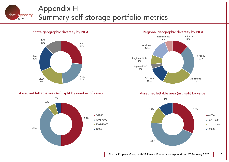#### Appendix H abacus property Summary self-storage portfolio metrics group

NSW

22%





QLD

20%





Asset net lettable area (m<sup>2</sup>) split by value

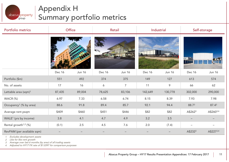### Appendix H abacus property Summary portfolio metricsgroup

| Portfolio metrics                  | Office |               | Retail |                | Industrial    |               | Self-storage        |               |
|------------------------------------|--------|---------------|--------|----------------|---------------|---------------|---------------------|---------------|
|                                    |        |               |        |                |               |               | <b>IT IT</b><br>π   |               |
|                                    | Dec 16 | <b>Jun 16</b> | Dec 16 | <b>Jun 16</b>  | <b>Dec 16</b> | <b>Jun 16</b> | <b>Dec 16</b>       | <b>Jun 16</b> |
| Portfolio (\$m)                    | 551    | 492           | 374    | 375            | 149           | 127           | 613                 | 574           |
| No. of assets                      | 17     | 16            | 6      | $\overline{7}$ | 11            | 9             | 66                  | 62            |
| Lettable area (sqm) <sup>1</sup>   | 87,435 | 89,004        | 78,625 | 83,106         | 142,649       | 130,778       | 302,000             | 290,000       |
| WACR (%)                           | 6.97   | 7.33          | 6.58   | 6.74           | 8.15          | 8.39          | 7.93                | 7.98          |
| Occupancy <sup>1</sup> (% by area) | 88.6   | 91.8          | 89.4   | 85.7           | 92.1          | 94.4          | 88.73               | $87.4^3$      |
| Average rent psqm                  | \$409  | \$460         | \$451  | \$446          | \$82          | \$82          | A\$262 <sup>3</sup> | A\$2603,4     |
| WALE <sup>1</sup> (yrs by income)  | 3.8    | 4.1           | 4.7    | 4.9            | 3.2           | 3.5           |                     |               |
| Rental growth <sup>1,2</sup> (%)   | (0.1)  | 2.5           | 4.5    | 7.6            | 2.0           | (7.4)         |                     |               |
| RevPAM (per available sqm)         |        |               |        |                |               |               | A\$232 <sup>3</sup> | A\$2273,4     |

1. Excludes development assets

2.Like for like rent growth

3.Average over last 6 months (by area) of all trading assets

4. Adjusted to HY17 FX rate of \$1.0397 for comparison purposes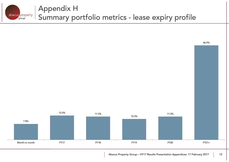



Abacus Property Group – HY17 Results Presentation Appendices: 17 February 2017 | 12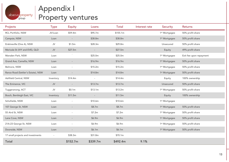

## Appendix I Property ventures

| Projects                           | <b>Type</b>              | <b>Equity</b>            | Loans                    | <b>Total</b> | Interest rate | Security                  | <b>Returns</b>          |
|------------------------------------|--------------------------|--------------------------|--------------------------|--------------|---------------|---------------------------|-------------------------|
| RCL Portfolio, NSW                 | JV/Loan                  | \$59.4m                  | \$95.7m                  | \$155.1m     |               | 1 <sup>st</sup> Mortgagee | 50% profit share        |
| Campsie, NSW                       | Loan                     |                          | \$38.8m                  | \$38.8m      |               | 1 <sup>st</sup> Mortgagee | 50% profit share        |
| Erskineville (One A), NSW          | ${\sf J}{\sf V}$         | \$1.5m                   | \$28.3m                  | \$29.8m      |               | Unsecured                 | 50% profit share        |
| Merivale St (IVY and EVE), QLD     | $\mathsf{JV}$            | \$27.5m                  |                          | \$27.5m      |               | Equity                    | 49% profit share        |
| Marsden Park, NSW                  | Loan                     |                          | \$25.0m                  | \$25.0m      |               | 1 <sup>st</sup> Mortgagee | Exit fee upon repayment |
| Grand Ave, Camellia, NSW           | Loan                     |                          | \$16.9m                  | \$16.9m      |               | 1 <sup>st</sup> Mortgagee | 50% profit share        |
| Belmore, NSW                       | Loan                     | $\overline{\phantom{a}}$ | \$15.2m                  | \$15.2m      |               | 1 <sup>st</sup> Mortgagee | 50% profit share        |
| Rance Road (Settler's Estate), NSW | Loan                     |                          | \$14.8m                  | \$14.8m      |               | 1 <sup>st</sup> Mortgagee | 50% profit share        |
| Ashfield Central, NSW              | Inventory                | \$14.4m                  |                          | \$14.4m      |               | Equity                    | 100% ownership          |
| The Eminence, VIC                  | ${\sf J}{\sf V}$         |                          | \$13.7m                  | \$13.7m      |               | Unsecured                 | 50% profit share        |
| Tuggeranong, ACT                   | JV                       | \$0.1m                   | \$13.1m                  | \$13.2m      |               | 1 <sup>st</sup> Mortgagee | 50% profit share        |
| Bosch, Bentleigh East, VIC         | Inventory                | \$11.5m                  | $\overline{\phantom{a}}$ | \$11.5m      |               | Equity                    | 100% ownership          |
| Schofields, NSW                    | Loan                     |                          | \$10.6m                  | \$10.6m      |               | 1 <sup>st</sup> Mortgagee |                         |
| 107 George St, NSW                 | Loan                     | $\overline{\phantom{a}}$ | \$8.7m                   | \$8.7m       |               | 1 <sup>st</sup> Mortgagee | 50% profit share        |
| 55 Aird St, NSW                    | Loan                     | $\overline{\phantom{a}}$ | \$7.2m                   | \$7.2m       |               | 1 <sup>st</sup> Mortgagee | 50% profit share        |
| Lane Cove, NSW                     | Loan                     | $\overline{\phantom{a}}$ | \$6.9m                   | \$6.9m       |               | 1 <sup>st</sup> Mortgagee | 50% profit share        |
| 21A-23 George St, NSW              | Loan                     | $\overline{\phantom{a}}$ | \$6.9m                   | \$6.9m       |               | 1 <sup>st</sup> Mortgagee | 50% profit share        |
| Doonside, NSW                      | Loan                     | $\overline{\phantom{a}}$ | \$6.1m                   | \$6.1m       |               | 1 <sup>st</sup> Mortgagee | 50% profit share        |
| 17 small projects and investments  | $\overline{\phantom{a}}$ | \$38.3m                  | \$31.8m                  | \$70.1m      |               |                           |                         |
| <b>Total</b>                       |                          | \$152.7m                 | \$339.7m                 | \$492.4m     | 9.1%          |                           |                         |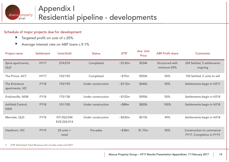

#### Schedule of major projects due for development

- $\mathcal{L}_{\mathcal{A}}$ Targeted profit on cost of c.20%
- $\mathcal{L}_{\mathcal{A}}$ Average interest rate on ABP loans c.9.1%

| Project name                    | Settlement  | Units/Sold                 | <b>Status</b>      | ETR <sup>1</sup> | Ave. Unit<br>Price | <b>ABP Profit share</b>        | <b>Comments</b>                                      |
|---------------------------------|-------------|----------------------------|--------------------|------------------|--------------------|--------------------------------|------------------------------------------------------|
| Spice apartments,<br>QLD        | <b>HY17</b> | 274/274                    | Completed          | ~5132m           | \$534k             | Structured with<br>minimum 50% | 269 Settled, 5 settlements<br>ongoing                |
| The Prince, ACT                 | <b>HY17</b> | 152/150                    | Completed          | $\sim$ \$75m     | \$550k             | 50%                            | 150 Settled, 2 units to sell                         |
| The Eminence<br>apartments, VIC | <b>FY18</b> | 193/193                    | Under construction | ~5112m           | \$640k             | 50%                            | Settlements begin in H217                            |
| Erskineville, NSW               | <b>FY18</b> | 175/138                    | Under construction | ~152m            | \$950k             | 50%                            | Settlements begin in H218                            |
| Ashfield Central,<br><b>NSW</b> | <b>FY18</b> | 101/100                    | Under construction | ~588m            | \$820k             | 100%                           | Settlements begin in H218                            |
| Merivale, QLD                   | <b>FY18</b> | IVY:252/244<br>EVE:224/214 | Under construction | ~5242m           | \$515k             | 49%                            | Settlements begin in H218                            |
| Hawthorn, VIC                   | <b>FY19</b> | $22$ units $+$<br>retail   | Pre-sales          | ~538m            | \$1.75m            | 50%                            | Construction to commence<br>FY17. Completion in FY19 |

1. ETR: Estimated Total Revenue (net of sales costs and GST)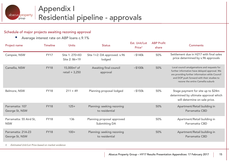

#### Schedule of major projects awaiting rezoning approval

 $\mathcal{L}_{\mathcal{A}}$ Average interest rate on ABP loans c.9.1%

| Project name                          | <b>Timeline</b> | <b>Units</b>                      | <b>Status</b>                                | Est. Unit/Lot<br>Price <sup>1</sup> | <b>ABP Profit</b><br>share | <b>Comments</b>                                                                                                                                                                                                                     |
|---------------------------------------|-----------------|-----------------------------------|----------------------------------------------|-------------------------------------|----------------------------|-------------------------------------------------------------------------------------------------------------------------------------------------------------------------------------------------------------------------------------|
| Campsie, NSW                          | <b>FY17</b>     | Site 1: 270+83<br>Site 2: 86+19   | Site 1+2: DA approved. s.96<br>lodged        | ~140k                               | 50%                        | Settlement due in H217 with final sales<br>price determined by s.96 approvals                                                                                                                                                       |
| Camellia, NSW                         | <b>FY18</b>     | 15,000 $m2$ of<br>retail $+3,250$ | Awaiting final council<br>approval           | ~100k                               | 50%                        | Local council amalgamations and requests for<br>further information have delayed approval. We<br>are providing further information while Council<br>and DOP push forward with their studies to<br>rezone the entire Camellia suburb |
| Belmore, NSW                          | <b>FY18</b>     | $211 + 49$                        | Planning proposal lodged                     | ~5150k                              | 50%                        | Stage payment for site up to \$24m<br>determined by ultimate approval which<br>will determine on sale price.                                                                                                                        |
| Parramatta: 107<br>George St, NSW     | <b>FY18</b>     | $125+$                            | Planning: seeking rezoning<br>to residential |                                     | 50%                        | Apartment/Retail building in<br>Parramatta CBD                                                                                                                                                                                      |
| Parramatta: 55 Aird St,<br><b>NSW</b> | <b>FY18</b>     | 136                               | Planning proposal approved<br>Submitting DA  |                                     | 50%                        | Apartment/Retail building in<br>Parramatta CBD                                                                                                                                                                                      |
| Parramatta: 21A-23<br>George St, NSW  | <b>FY18</b>     | $100+$                            | Planning: seeking rezoning<br>to residential |                                     | 50%                        | Apartment/Retail building in<br>Parramatta CBD                                                                                                                                                                                      |

1. Estimated Unit/Lot Price based on market evidence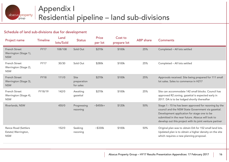

#### Schedule of land sub-divisions due for development

| Project name                                                     | <b>Timeline</b> | Land<br>lots/Sold | <b>Status</b>                    | <b>Price</b><br>per lot | Cost to<br>prepare lot | <b>ABP</b> share | <b>Comments</b>                                                                                                                                                                                                                                                            |
|------------------------------------------------------------------|-----------------|-------------------|----------------------------------|-------------------------|------------------------|------------------|----------------------------------------------------------------------------------------------------------------------------------------------------------------------------------------------------------------------------------------------------------------------------|
| <b>French Street</b><br>Werrington (Stage 1),<br><b>NSW</b>      | <b>FY17</b>     | 108/108           | Sold Out                         | \$270k                  | \$100k                 | 25%              | Completed - All lots settled                                                                                                                                                                                                                                               |
| <b>French Street</b><br>Werrington (Stage 2),<br><b>NSW</b>      | <b>FY17</b>     | 30/30             | Sold Out                         | \$280k                  | \$100k                 | 25%              | Completed - All lots settled                                                                                                                                                                                                                                               |
| <b>French Street</b><br>Werrington (Stage 3),<br><b>NSW</b>      | <b>FY18</b>     | 111/0             | Site<br>preparation<br>for sales | \$270k                  | \$100k                 | 25%              | Approvals received. Site being prepared for 111 small<br>lot sales. Sales to commence in H217                                                                                                                                                                              |
| <b>French Street</b><br>Werrington (Stage 4),<br><b>NSW</b>      | FY18/19         | 142/0             | Awaiting<br>gazettal             | \$270k                  | \$100k                 | 25%              | Site can accommodate 142 small blocks. Council has<br>approved R2 zoning, gazettal is expected early in<br>2017. DA is to be lodged shortly thereafter                                                                                                                     |
| Riverlands, NSW                                                  |                 | 450/0             | Progressing<br>rezoning          | $~5450k+$               | \$120k                 | 50%              | Stage 1 - 15 ha has been approved for rezoning by the<br>council and the NSW State Government via gazettal.<br>Development application for stage one to be<br>submitted in the near future. Abacus will look to<br>develop out this project with its joint venture partner |
| <b>Rance Road (Settlers</b><br>Estate) Werrington,<br><b>NSW</b> |                 | 152/0             | Seeking<br>rezoning              | ~5330k                  | \$100k                 | 50%              | Original plan was to obtain DA for 152 small land lots.<br>Updated plan is to obtain a higher density on the site<br>which requires a new planning proposal.                                                                                                               |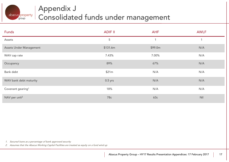

## Appendix J Consolidated funds under management

| <b>Funds</b>                  | <b>ADIF II</b> | <b>AHF</b> | <b>AWLF</b> |
|-------------------------------|----------------|------------|-------------|
| Assets                        | 5              |            | 1           |
| Assets Under Management       | \$131.6m       | \$99.0m    | N/A         |
| WAV cap rate                  | 7.43%          | 7.00%      | N/A         |
| Occupancy                     | 89%            | 67%        | N/A         |
| Bank debt                     | \$21m          | N/A        | N/A         |
| WAV bank debt maturity        | $0.5$ yrs      | N/A        | N/A         |
| Covenant gearing <sup>1</sup> | 18%            | N/A        | N/A         |
| NAV per unit <sup>2</sup>     | 78c            | 63c        | Nil         |

1. Secured loans as a percentage of bank approved security

2. Assumes that the Abacus Working Capital Facilities are treated as equity on a fund wind up